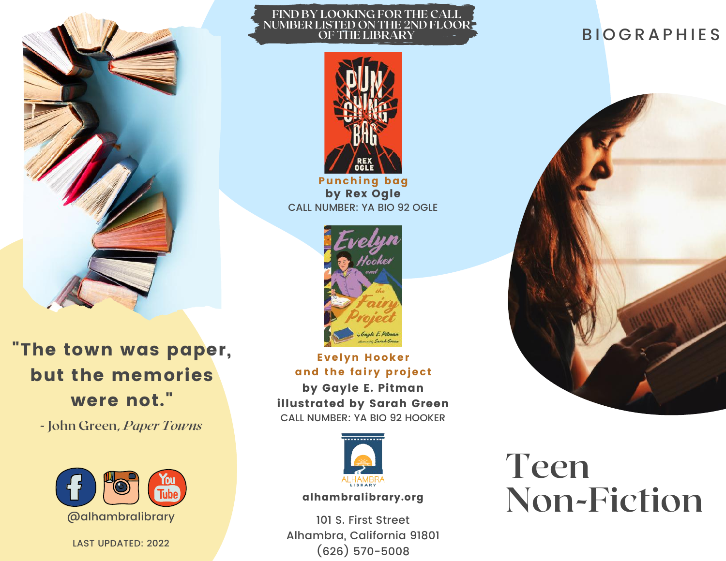

"The town was paper, but the memories were not."

**- John Green,** *Paper Towns*



LAST UPDATED: 2022

#### **FIND BY LOOKING FOR THE CALL NUMBER LISTED ON THE 2ND FLOOR OF THE LIBRARY**



Punching bag by Rex Ogle CALL NUMBER: YA BIO 92 OGLE



Evelyn Hooker and the fairy project by Gayle E. Pitman illustrated by Sarah Green

CALL NUMBER: YA BIO 92 HOOKER



### alhambralibrary.org

101 S. First Street Alhambra, California 91801 (626) 570-5008

# **BIOGRAPHIES**



# **Teen Non-Fiction**